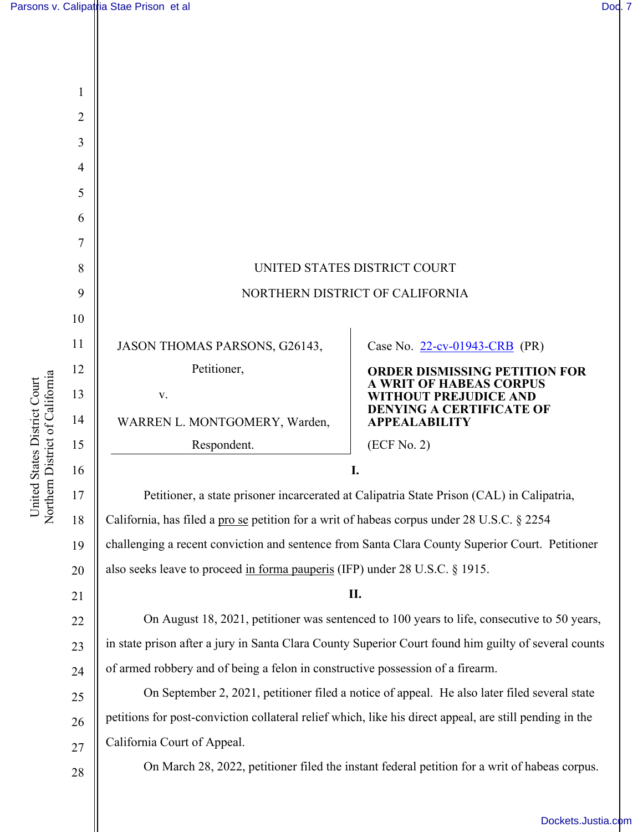[Dockets.Justia.com](https://dockets.justia.com/)

| 1  |                                                                                                         |                                                                                               |  |
|----|---------------------------------------------------------------------------------------------------------|-----------------------------------------------------------------------------------------------|--|
| 2  |                                                                                                         |                                                                                               |  |
| 3  |                                                                                                         |                                                                                               |  |
| 4  |                                                                                                         |                                                                                               |  |
| 5  |                                                                                                         |                                                                                               |  |
| 6  |                                                                                                         |                                                                                               |  |
| 7  |                                                                                                         |                                                                                               |  |
| 8  | UNITED STATES DISTRICT COURT                                                                            |                                                                                               |  |
| 9  | NORTHERN DISTRICT OF CALIFORNIA                                                                         |                                                                                               |  |
| 10 |                                                                                                         |                                                                                               |  |
| 11 | JASON THOMAS PARSONS, G26143,                                                                           | Case No. 22-cv-01943-CRB (PR)                                                                 |  |
| 12 | Petitioner,                                                                                             | <b>ORDER DISMISSING PETITION FOR</b>                                                          |  |
| 13 | V.                                                                                                      | A WRIT OF HABEAS CORPUS<br><b>WITHOUT PREJUDICE AND</b>                                       |  |
| 14 | WARREN L. MONTGOMERY, Warden,                                                                           | <b>DENYING A CERTIFICATE OF</b><br><b>APPEALABILITY</b>                                       |  |
| 15 | Respondent.                                                                                             | (ECF No. 2)                                                                                   |  |
| 16 | I.                                                                                                      |                                                                                               |  |
| 17 | Petitioner, a state prisoner incarcerated at Calipatria State Prison (CAL) in Calipatria,               |                                                                                               |  |
| 18 | California, has filed a pro se petition for a writ of habeas corpus under 28 U.S.C. § 2254              |                                                                                               |  |
| 19 | challenging a recent conviction and sentence from Santa Clara County Superior Court. Petitioner         |                                                                                               |  |
| 20 | also seeks leave to proceed in forma pauperis (IFP) under 28 U.S.C. § 1915.                             |                                                                                               |  |
| 21 | II.                                                                                                     |                                                                                               |  |
| 22 | On August 18, 2021, petitioner was sentenced to 100 years to life, consecutive to 50 years,             |                                                                                               |  |
| 23 | in state prison after a jury in Santa Clara County Superior Court found him guilty of several counts    |                                                                                               |  |
| 24 | of armed robbery and of being a felon in constructive possession of a firearm.                          |                                                                                               |  |
| 25 | On September 2, 2021, petitioner filed a notice of appeal. He also later filed several state            |                                                                                               |  |
| 26 | petitions for post-conviction collateral relief which, like his direct appeal, are still pending in the |                                                                                               |  |
| 27 | California Court of Appeal.                                                                             |                                                                                               |  |
| 28 |                                                                                                         | On March 28, 2022, petitioner filed the instant federal petition for a writ of habeas corpus. |  |

United States District Court Northern District of Californi United States District Court<br>Northern District of California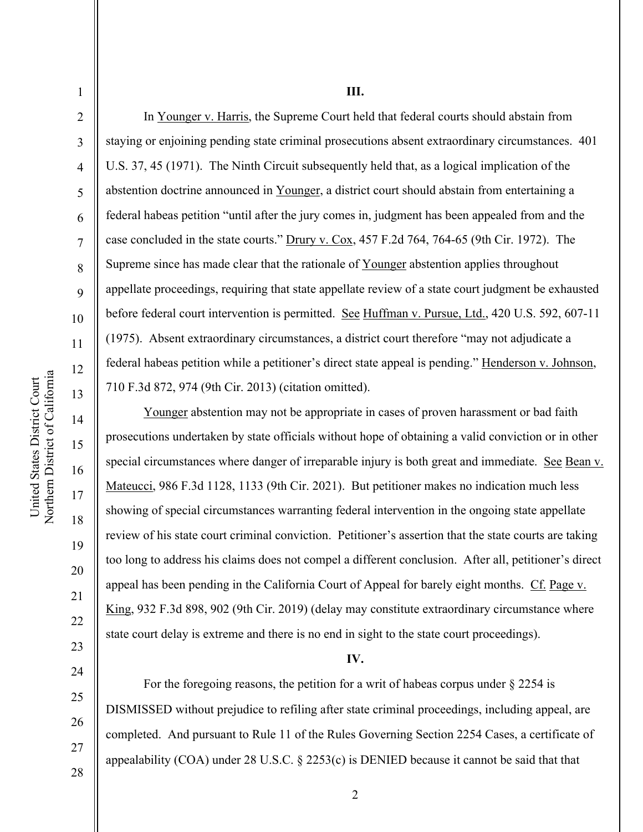Northern District of California United States District Court United States District Court Northern District of Californi

14

15

16

17

18

19

20

21

22

23

24

25

26

27

1

2 3 4 5 6 7 8 9 10 11 12 13 In Younger v. Harris, the Supreme Court held that federal courts should abstain from staying or enjoining pending state criminal prosecutions absent extraordinary circumstances. 401 U.S. 37, 45 (1971). The Ninth Circuit subsequently held that, as a logical implication of the abstention doctrine announced in Younger, a district court should abstain from entertaining a federal habeas petition "until after the jury comes in, judgment has been appealed from and the case concluded in the state courts." Drury v. Cox, 457 F.2d 764, 764-65 (9th Cir. 1972). The Supreme since has made clear that the rationale of Younger abstention applies throughout appellate proceedings, requiring that state appellate review of a state court judgment be exhausted before federal court intervention is permitted. See Huffman v. Pursue, Ltd., 420 U.S. 592, 607-11 (1975). Absent extraordinary circumstances, a district court therefore "may not adjudicate a federal habeas petition while a petitioner's direct state appeal is pending." Henderson v. Johnson, 710 F.3d 872, 974 (9th Cir. 2013) (citation omitted).

Younger abstention may not be appropriate in cases of proven harassment or bad faith prosecutions undertaken by state officials without hope of obtaining a valid conviction or in other special circumstances where danger of irreparable injury is both great and immediate. See Bean v. Mateucci, 986 F.3d 1128, 1133 (9th Cir. 2021). But petitioner makes no indication much less showing of special circumstances warranting federal intervention in the ongoing state appellate review of his state court criminal conviction. Petitioner's assertion that the state courts are taking too long to address his claims does not compel a different conclusion. After all, petitioner's direct appeal has been pending in the California Court of Appeal for barely eight months. Cf. Page v. King, 932 F.3d 898, 902 (9th Cir. 2019) (delay may constitute extraordinary circumstance where state court delay is extreme and there is no end in sight to the state court proceedings).

## **IV.**

 For the foregoing reasons, the petition for a writ of habeas corpus under § 2254 is DISMISSED without prejudice to refiling after state criminal proceedings, including appeal, are completed. And pursuant to Rule 11 of the Rules Governing Section 2254 Cases, a certificate of appealability (COA) under 28 U.S.C. § 2253(c) is DENIED because it cannot be said that that

28

2